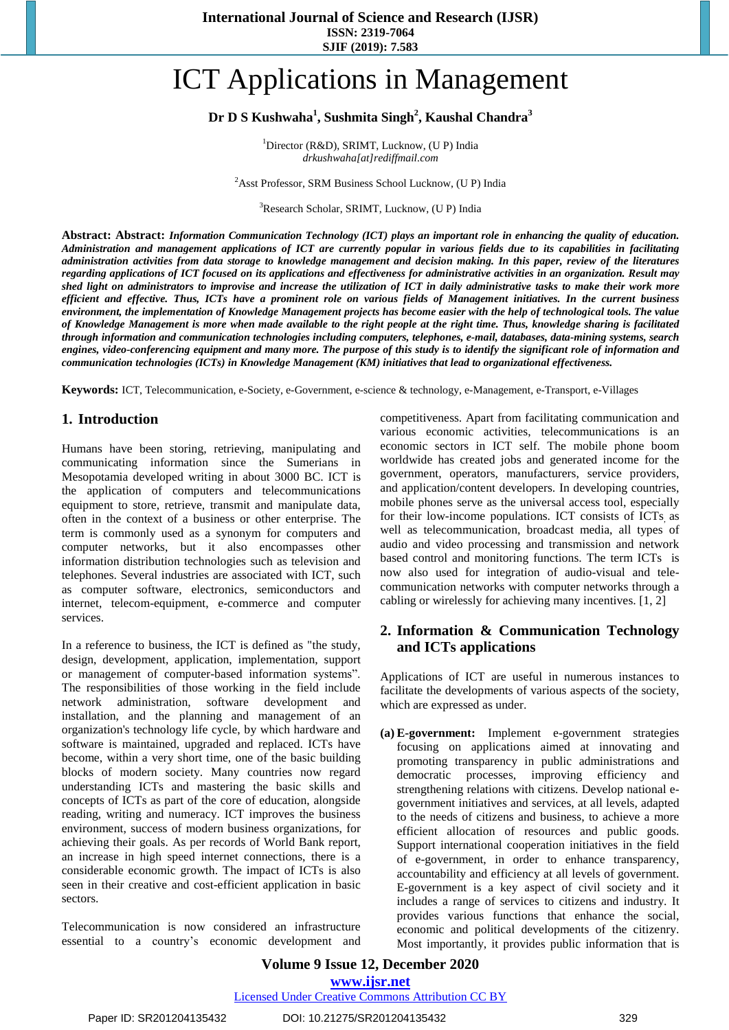**International Journal of Science and Research (IJSR) ISSN: 2319-7064 SJIF (2019): 7.583**

# ICT Applications in Management

# **Dr D S Kushwaha<sup>1</sup> , Sushmita Singh<sup>2</sup> , Kaushal Chandra<sup>3</sup>**

<sup>1</sup>Director (R&D), SRIMT, Lucknow, (U P) India *drkushwaha[at]rediffmail.com*

<sup>2</sup>Asst Professor, SRM Business School Lucknow, (U P) India

<sup>3</sup>Research Scholar, SRIMT, Lucknow, (U P) India

Abstract: Abstract: Information Communication Technology (ICT) plays an important role in enhancing the quality of education. Administration and management applications of ICT are currently popular in various fields due to its capabilities in facilitating administration activities from data storage to knowledge management and decision making. In this paper, review of the literatures regarding applications of ICT focused on its applications and effectiveness for administrative activities in an organization. Result may shed light on administrators to improvise and increase the utilization of ICT in daily administrative tasks to make their work more efficient and effective. Thus, ICTs have a prominent role on various fields of Management initiatives. In the current business environment, the implementation of Knowledge Management projects has become easier with the help of technological tools. The value of Knowledge Management is more when made available to the right people at the right time. Thus, knowledge sharing is facilitated *through information and communication technologies including computers, telephones, e-mail, databases, data-mining systems, search* engines, video-conferencing equipment and many more. The purpose of this study is to identify the significant role of information and *communication technologies (ICTs) in Knowledge Management (KM) initiatives that lead to organizational effectiveness.*

**Keywords:** ICT, Telecommunication, e-Society, e-Government, e-science & technology, e-Management, e-Transport, e-Villages

#### **1. Introduction**

Humans have been storing, retrieving, manipulating and communicating information since the Sumerians in Mesopotamia developed writing in about 3000 BC. ICT is the application of computers and telecommunications equipment to store, retrieve, transmit and manipulate data, often in the context of a business or other enterprise. The term is commonly used as a synonym for computers and computer networks, but it also encompasses other information distribution technologies such as television and telephones. Several industries are associated with ICT, such as computer software, electronics, semiconductors and internet, telecom-equipment, e-commerce and computer services.

In a reference to business, the ICT is defined as "the study, design, development, application, implementation, support or management of computer-based information systems". The responsibilities of those working in the field include network administration, software development and installation, and the planning and management of an organization's technology life cycle, by which hardware and software is maintained, upgraded and replaced. ICTs have become, within a very short time, one of the basic building blocks of modern society. Many countries now regard understanding ICTs and mastering the basic skills and concepts of ICTs as part of the core of education, alongside reading, writing and numeracy. ICT improves the business environment, success of modern business organizations, for achieving their goals. As per records of World Bank report, an increase in high speed internet connections, there is a considerable economic growth. The impact of ICTs is also seen in their creative and cost-efficient application in basic sectors.

Telecommunication is now considered an infrastructure essential to a country"s economic development and competitiveness. Apart from facilitating communication and various economic activities, telecommunications is an economic sectors in ICT self. The mobile phone boom worldwide has created jobs and generated income for the government, operators, manufacturers, service providers, and application/content developers. In developing countries, mobile phones serve as the universal access tool, especially for their low-income populations. ICT consists of ICTs as well as telecommunication, broadcast media, all types of audio and video processing and transmission and network based control and monitoring functions. The term ICTs is now also used for integration of audio-visual and telecommunication networks with computer networks through a cabling or wirelessly for achieving many incentives. [1, 2]

## **2. Information & Communication Technology and ICTs applications**

Applications of ICT are useful in numerous instances to facilitate the developments of various aspects of the society, which are expressed as under.

**(a) E-government:** Implement e-government strategies focusing on applications aimed at innovating and promoting transparency in public administrations and democratic processes, improving efficiency and strengthening relations with citizens. Develop national egovernment initiatives and services, at all levels, adapted to the needs of citizens and business, to achieve a more efficient allocation of resources and public goods. Support international cooperation initiatives in the field of e-government, in order to enhance transparency, accountability and efficiency at all levels of government. E-government is a key aspect of civil society and it includes a range of services to citizens and industry. It provides various functions that enhance the social, economic and political developments of the citizenry. Most importantly, it provides public information that is

## **Volume 9 Issue 12, December 2020 www.ijsr.net**

Licensed Under Creative Commons Attribution CC BY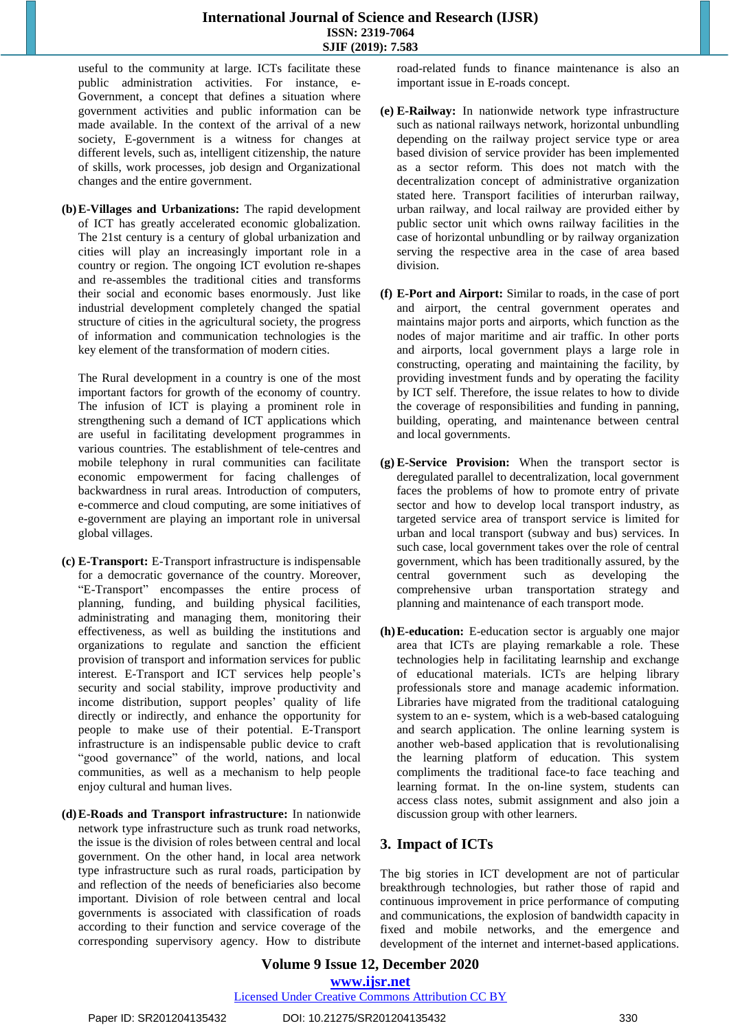useful to the community at large. ICTs facilitate these public administration activities. For instance, e-Government, a concept that defines a situation where government activities and public information can be made available. In the context of the arrival of a new society, E-government is a witness for changes at different levels, such as, intelligent citizenship, the nature of skills, work processes, job design and Organizational changes and the entire government.

**(b)E-Villages and Urbanizations:** The rapid development of ICT has greatly accelerated economic globalization. The 21st century is a century of global urbanization and cities will play an increasingly important role in a country or region. The ongoing ICT evolution re-shapes and re-assembles the traditional cities and transforms their social and economic bases enormously. Just like industrial development completely changed the spatial structure of cities in the agricultural society, the progress of information and communication technologies is the key element of the transformation of modern cities.

The Rural development in a country is one of the most important factors for growth of the economy of country. The infusion of ICT is playing a prominent role in strengthening such a demand of ICT applications which are useful in facilitating development programmes in various countries. The establishment of tele-centres and mobile telephony in rural communities can facilitate economic empowerment for facing challenges of backwardness in rural areas. Introduction of computers, e-commerce and cloud computing, are some initiatives of e-government are playing an important role in universal global villages.

- **(c) E-Transport:** E-Transport infrastructure is indispensable for a democratic governance of the country. Moreover, "E-Transport" encompasses the entire process of planning, funding, and building physical facilities, administrating and managing them, monitoring their effectiveness, as well as building the institutions and organizations to regulate and sanction the efficient provision of transport and information services for public interest. E-Transport and ICT services help people"s security and social stability, improve productivity and income distribution, support peoples' quality of life directly or indirectly, and enhance the opportunity for people to make use of their potential. E-Transport infrastructure is an indispensable public device to craft "good governance" of the world, nations, and local communities, as well as a mechanism to help people enjoy cultural and human lives.
- **(d)E-Roads and Transport infrastructure:** In nationwide network type infrastructure such as trunk road networks, the issue is the division of roles between central and local government. On the other hand, in local area network type infrastructure such as rural roads, participation by and reflection of the needs of beneficiaries also become important. Division of role between central and local governments is associated with classification of roads according to their function and service coverage of the corresponding supervisory agency. How to distribute

road-related funds to finance maintenance is also an important issue in E-roads concept.

- **(e) E-Railway:** In nationwide network type infrastructure such as national railways network, horizontal unbundling depending on the railway project service type or area based division of service provider has been implemented as a sector reform. This does not match with the decentralization concept of administrative organization stated here. Transport facilities of interurban railway, urban railway, and local railway are provided either by public sector unit which owns railway facilities in the case of horizontal unbundling or by railway organization serving the respective area in the case of area based division.
- **(f) E-Port and Airport:** Similar to roads, in the case of port and airport, the central government operates and maintains major ports and airports, which function as the nodes of major maritime and air traffic. In other ports and airports, local government plays a large role in constructing, operating and maintaining the facility, by providing investment funds and by operating the facility by ICT self. Therefore, the issue relates to how to divide the coverage of responsibilities and funding in panning, building, operating, and maintenance between central and local governments.
- **(g) E-Service Provision:** When the transport sector is deregulated parallel to decentralization, local government faces the problems of how to promote entry of private sector and how to develop local transport industry, as targeted service area of transport service is limited for urban and local transport (subway and bus) services. In such case, local government takes over the role of central government, which has been traditionally assured, by the central government such as developing the comprehensive urban transportation strategy and planning and maintenance of each transport mode.
- **(h)E-education:** E-education sector is arguably one major area that ICTs are playing remarkable a role. These technologies help in facilitating learnship and exchange of educational materials. ICTs are helping library professionals store and manage academic information. Libraries have migrated from the traditional cataloguing system to an e- system, which is a web-based cataloguing and search application. The online learning system is another web-based application that is revolutionalising the learning platform of education. This system compliments the traditional face-to face teaching and learning format. In the on-line system, students can access class notes, submit assignment and also join a discussion group with other learners.

# **3. Impact of ICTs**

The big stories in ICT development are not of particular breakthrough technologies, but rather those of rapid and continuous improvement in price performance of computing and communications, the explosion of bandwidth capacity in fixed and mobile networks, and the emergence and development of the internet and internet-based applications.

### **Volume 9 Issue 12, December 2020 www.ijsr.net** Licensed Under Creative Commons Attribution CC BY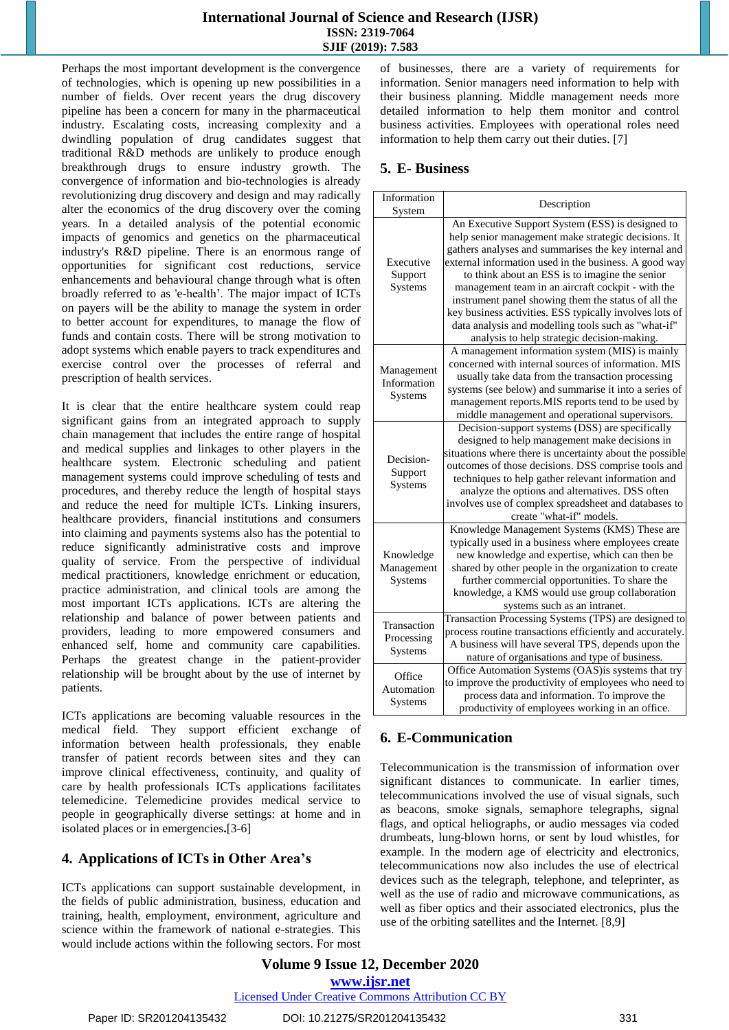## **International Journal of Science and Research (IJSR) ISSN: 2319-7064 SJIF (2019): 7.583**

Perhaps the most important development is the convergence of technologies, which is opening up new possibilities in a number of fields. Over recent years the drug discovery pipeline has been a concern for many in the pharmaceutical industry. Escalating costs, increasing complexity and a dwindling population of drug candidates suggest that traditional R&D methods are unlikely to produce enough breakthrough drugs to ensure industry growth. The convergence of information and bio-technologies is already revolutionizing drug discovery and design and may radically alter the economics of the drug discovery over the coming years. In a detailed analysis of the potential economic impacts of genomics and genetics on the pharmaceutical industry's R&D pipeline. There is an enormous range of opportunities for significant cost reductions, service enhancements and behavioural change through what is often broadly referred to as 'e-health". The major impact of ICTs on payers will be the ability to manage the system in order to better account for expenditures, to manage the flow of funds and contain costs. There will be strong motivation to adopt systems which enable payers to track expenditures and exercise control over the processes of referral and prescription of health services.

It is clear that the entire healthcare system could reap significant gains from an integrated approach to supply chain management that includes the entire range of hospital and medical supplies and linkages to other players in the healthcare system. Electronic scheduling and patient management systems could improve scheduling of tests and procedures, and thereby reduce the length of hospital stays and reduce the need for multiple ICTs. Linking insurers, healthcare providers, financial institutions and consumers into claiming and payments systems also has the potential to reduce significantly administrative costs and improve quality of service. From the perspective of individual medical practitioners, knowledge enrichment or education, practice administration, and clinical tools are among the most important ICTs applications. ICTs are altering the relationship and balance of power between patients and providers, leading to more empowered consumers and enhanced self, home and community care capabilities. Perhaps the greatest change in the patient-provider relationship will be brought about by the use of internet by patients.

ICTs applications are becoming valuable resources in the medical field. They support efficient exchange of information between health professionals, they enable transfer of patient records between sites and they can improve clinical effectiveness, continuity, and quality of care by health professionals ICTs applications facilitates telemedicine. Telemedicine provides medical service to people in geographically diverse settings: at home and in isolated places or in emergencies**.**[3-6]

# **4. Applications of ICTs in Other Area's**

ICTs applications can support sustainable development, in the fields of public administration, business, education and training, health, employment, environment, agriculture and science within the framework of national e-strategies. This would include actions within the following sectors. For most

of businesses, there are a variety of requirements for information. Senior managers need information to help with their business planning. Middle management needs more detailed information to help them monitor and control business activities. Employees with operational roles need information to help them carry out their duties. [7]

## **5. E- Business**

| Information<br>System                | Description                                                                                                                                                                                                                                                                                                                                                                                                                                                                                                                                             |
|--------------------------------------|---------------------------------------------------------------------------------------------------------------------------------------------------------------------------------------------------------------------------------------------------------------------------------------------------------------------------------------------------------------------------------------------------------------------------------------------------------------------------------------------------------------------------------------------------------|
| Executive<br>Support<br>Systems      | An Executive Support System (ESS) is designed to<br>help senior management make strategic decisions. It<br>gathers analyses and summarises the key internal and<br>external information used in the business. A good way<br>to think about an ESS is to imagine the senior<br>management team in an aircraft cockpit - with the<br>instrument panel showing them the status of all the<br>key business activities. ESS typically involves lots of<br>data analysis and modelling tools such as "what-if"<br>analysis to help strategic decision-making. |
| Management<br>Information<br>Systems | A management information system (MIS) is mainly<br>concerned with internal sources of information. MIS<br>usually take data from the transaction processing<br>systems (see below) and summarise it into a series of<br>management reports.MIS reports tend to be used by<br>middle management and operational supervisors.                                                                                                                                                                                                                             |
| Decision-<br>Support<br>Systems      | Decision-support systems (DSS) are specifically<br>designed to help management make decisions in<br>situations where there is uncertainty about the possible<br>outcomes of those decisions. DSS comprise tools and<br>techniques to help gather relevant information and<br>analyze the options and alternatives. DSS often<br>involves use of complex spreadsheet and databases to<br>create "what-if" models.                                                                                                                                        |
| Knowledge<br>Management<br>Systems   | Knowledge Management Systems (KMS) These are<br>typically used in a business where employees create<br>new knowledge and expertise, which can then be<br>shared by other people in the organization to create<br>further commercial opportunities. To share the<br>knowledge, a KMS would use group collaboration<br>systems such as an intranet.                                                                                                                                                                                                       |
| Transaction<br>Processing<br>Systems | Transaction Processing Systems (TPS) are designed to<br>process routine transactions efficiently and accurately.<br>A business will have several TPS, depends upon the<br>nature of organisations and type of business.                                                                                                                                                                                                                                                                                                                                 |
| Office<br>Automation<br>Systems      | Office Automation Systems (OAS) is systems that try<br>to improve the productivity of employees who need to<br>process data and information. To improve the<br>productivity of employees working in an office.                                                                                                                                                                                                                                                                                                                                          |

# **6. E-Communication**

Telecommunication is the transmission of information over significant distances to communicate. In earlier times, telecommunications involved the use of visual signals, such as beacons, smoke signals, semaphore telegraphs, signal flags, and optical heliographs, or audio messages via coded drumbeats, lung-blown horns, or sent by loud whistles, for example. In the modern age of electricity and electronics, telecommunications now also includes the use of electrical devices such as the telegraph, telephone, and teleprinter, as well as the use of radio and microwave communications, as well as fiber optics and their associated electronics, plus the use of the orbiting satellites and the Internet. [8,9]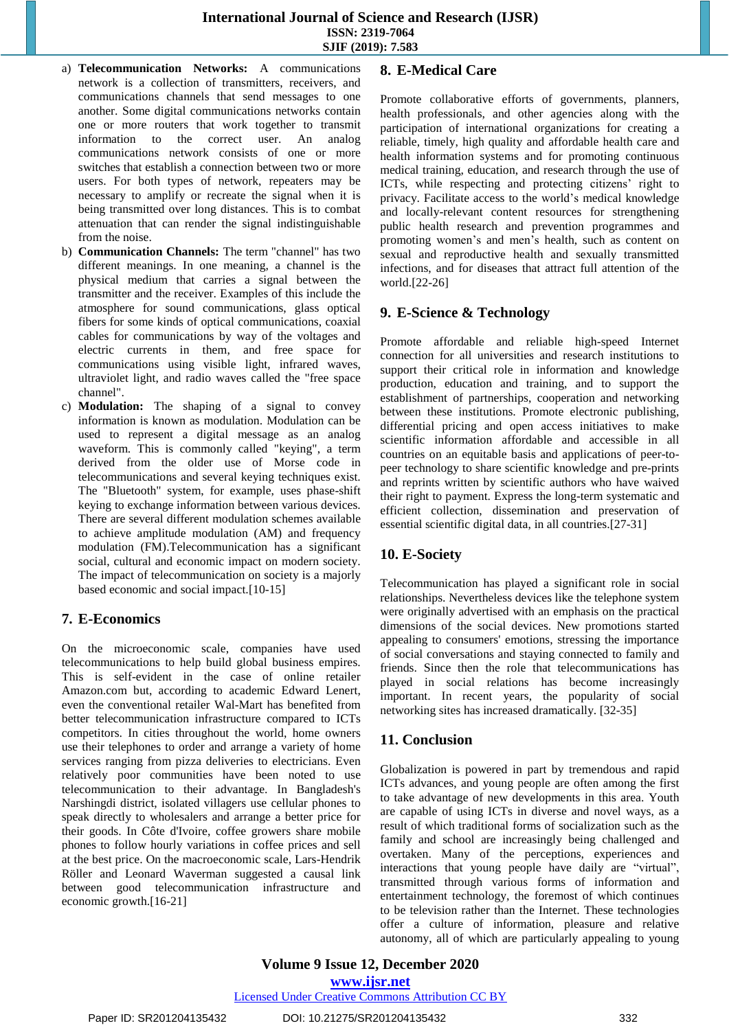- a) **Telecommunication Networks:** A communications network is a collection of transmitters, receivers, and communications channels that send messages to one another. Some digital communications networks contain one or more routers that work together to transmit information to the correct user. An analog communications network consists of one or more switches that establish a connection between two or more users. For both types of network, repeaters may be necessary to amplify or recreate the signal when it is being transmitted over long distances. This is to combat attenuation that can render the signal indistinguishable from the noise.
- b) **Communication Channels:** The term "channel" has two different meanings. In one meaning, a channel is the physical medium that carries a signal between the transmitter and the receiver. Examples of this include the atmosphere for sound communications, glass optical fibers for some kinds of optical communications, coaxial cables for communications by way of the voltages and electric currents in them, and free space for communications using visible light, infrared waves, ultraviolet light, and radio waves called the "free space channel".
- c) **Modulation:** The shaping of a signal to convey information is known as modulation. Modulation can be used to represent a digital message as an analog waveform. This is commonly called "keying", a term derived from the older use of Morse code in telecommunications and several keying techniques exist. The "Bluetooth" system, for example, uses phase-shift keying to exchange information between various devices. There are several different modulation schemes available to achieve amplitude modulation (AM) and frequency modulation (FM).Telecommunication has a significant social, cultural and economic impact on modern society. The impact of telecommunication on society is a majorly based economic and social impact.[10-15]

# **7. E-Economics**

On the microeconomic scale, companies have used telecommunications to help build global business empires. This is self-evident in the case of online retailer Amazon.com but, according to academic Edward Lenert, even the conventional retailer Wal-Mart has benefited from better telecommunication infrastructure compared to ICTs competitors. In cities throughout the world, home owners use their telephones to order and arrange a variety of home services ranging from pizza deliveries to electricians. Even relatively poor communities have been noted to use telecommunication to their advantage. In Bangladesh's Narshingdi district, isolated villagers use cellular phones to speak directly to wholesalers and arrange a better price for their goods. In Côte d'Ivoire, coffee growers share mobile phones to follow hourly variations in coffee prices and sell at the best price. On the macroeconomic scale, Lars-Hendrik Röller and Leonard Waverman suggested a causal link between good telecommunication infrastructure and economic growth.[16-21]

## **8. E-Medical Care**

Promote collaborative efforts of governments, planners, health professionals, and other agencies along with the participation of international organizations for creating a reliable, timely, high quality and affordable health care and health information systems and for promoting continuous medical training, education, and research through the use of ICTs, while respecting and protecting citizens" right to privacy. Facilitate access to the world"s medical knowledge and locally-relevant content resources for strengthening public health research and prevention programmes and promoting women"s and men"s health, such as content on sexual and reproductive health and sexually transmitted infections, and for diseases that attract full attention of the world.[22-26]

# **9. E-Science & Technology**

Promote affordable and reliable high-speed Internet connection for all universities and research institutions to support their critical role in information and knowledge production, education and training, and to support the establishment of partnerships, cooperation and networking between these institutions. Promote electronic publishing, differential pricing and open access initiatives to make scientific information affordable and accessible in all countries on an equitable basis and applications of peer-topeer technology to share scientific knowledge and pre-prints and reprints written by scientific authors who have waived their right to payment. Express the long-term systematic and efficient collection, dissemination and preservation of essential scientific digital data, in all countries.[27-31]

# **10. E-Society**

Telecommunication has played a significant role in social relationships. Nevertheless devices like the telephone system were originally advertised with an emphasis on the practical dimensions of the social devices. New promotions started appealing to consumers' emotions, stressing the importance of social conversations and staying connected to family and friends. Since then the role that telecommunications has played in social relations has become increasingly important. In recent years, the popularity of social networking sites has increased dramatically. [32-35]

# **11. Conclusion**

Globalization is powered in part by tremendous and rapid ICTs advances, and young people are often among the first to take advantage of new developments in this area. Youth are capable of using ICTs in diverse and novel ways, as a result of which traditional forms of socialization such as the family and school are increasingly being challenged and overtaken. Many of the perceptions, experiences and interactions that young people have daily are "virtual", transmitted through various forms of information and entertainment technology, the foremost of which continues to be television rather than the Internet. These technologies offer a culture of information, pleasure and relative autonomy, all of which are particularly appealing to young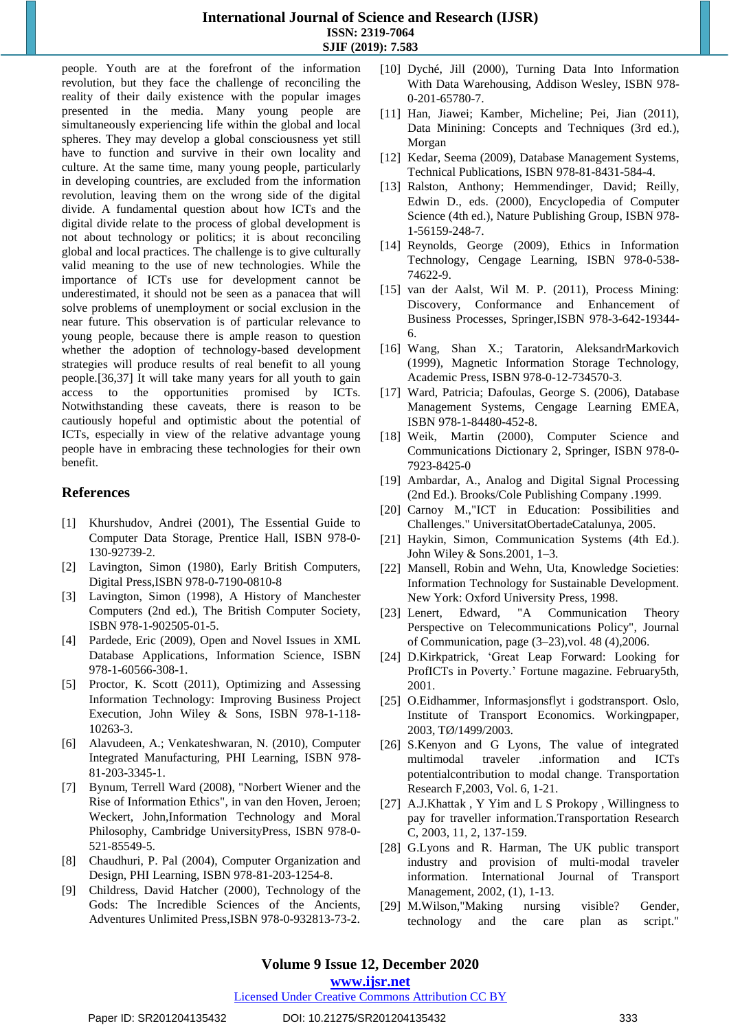#### **International Journal of Science and Research (IJSR) ISSN: 2319-7064 SJIF (2019): 7.583**

people. Youth are at the forefront of the information revolution, but they face the challenge of reconciling the reality of their daily existence with the popular images presented in the media. Many young people are simultaneously experiencing life within the global and local spheres. They may develop a global consciousness yet still have to function and survive in their own locality and culture. At the same time, many young people, particularly in developing countries, are excluded from the information revolution, leaving them on the wrong side of the digital divide. A fundamental question about how ICTs and the digital divide relate to the process of global development is not about technology or politics; it is about reconciling global and local practices. The challenge is to give culturally valid meaning to the use of new technologies. While the importance of ICTs use for development cannot be underestimated, it should not be seen as a panacea that will solve problems of unemployment or social exclusion in the near future. This observation is of particular relevance to young people, because there is ample reason to question whether the adoption of technology-based development strategies will produce results of real benefit to all young people.[36,37] It will take many years for all youth to gain access to the opportunities promised by ICTs. Notwithstanding these caveats, there is reason to be cautiously hopeful and optimistic about the potential of ICTs, especially in view of the relative advantage young people have in embracing these technologies for their own benefit.

## **References**

- [1] Khurshudov, Andrei (2001), The Essential Guide to Computer Data Storage, Prentice Hall, [ISBN](http://en.wikipedia.org/wiki/International_Standard_Book_Number) 978-0- 130-92739-2.
- [2] Lavington, Simon (1980), Early British Computers, Digital Pres[s,ISBN](http://en.wikipedia.org/wiki/International_Standard_Book_Number) 978-0-7190-0810-8
- [3] Lavington, Simon (1998), A History of Manchester Computers (2nd ed.), The British Computer Society, [ISBN](http://en.wikipedia.org/wiki/International_Standard_Book_Number) 978-1-902505-01-5.
- [4] Pardede, Eric (2009), Open and Novel Issues in XML Database Applications, Information Science, [ISBN](http://en.wikipedia.org/wiki/International_Standard_Book_Number) 978-1-60566-308-1.
- [5] Proctor, K. Scott (2011), Optimizing and Assessing Information Technology: Improving Business Project Execution, John Wiley & Sons, [ISBN](http://en.wikipedia.org/wiki/International_Standard_Book_Number) 978-1-118- 10263-3.
- [6] Alavudeen, A.; Venkateshwaran, N. (2010), Computer Integrated Manufacturing, PHI Learning, ISBN [978-](http://en.wikipedia.org/wiki/Special:BookSources/978-81-203-3345-1) [81-203-3345-1.](http://en.wikipedia.org/wiki/Special:BookSources/978-81-203-3345-1)
- [7] Bynum, Terrell Ward (2008), "Norbert Wiener and the Rise of Information Ethics", in van den Hoven, Jeroen; Weckert, John,Information Technology and Moral Philosophy, Cambridge UniversityPress, [ISBN](http://en.wikipedia.org/wiki/International_Standard_Book_Number) 978-0- 521-85549-5.
- [8] Chaudhuri, P. Pal (2004), Computer Organization and Design, PHI Learning, [ISBN](http://en.wikipedia.org/wiki/International_Standard_Book_Number) 978-81-203-1254-8.
- [9] Childress, David Hatcher (2000), Technology of the Gods: The Incredible Sciences of the Ancients, Adventures Unlimited Press[,ISBN](http://en.wikipedia.org/wiki/International_Standard_Book_Number) 978-0-932813-73-2.
- [10] Dyché, Jill (2000), Turning Data Into Information With Data Warehousing, Addison Wesley, [ISBN](http://en.wikipedia.org/wiki/International_Standard_Book_Number) 978- 0-201-65780-7.
- [11] Han, Jiawei; Kamber, Micheline; Pei, Jian (2011), Data Minining: Concepts and Techniques (3rd ed.), Morgan
- [12] Kedar, Seema (2009), Database Management Systems, Technical Publications, [ISBN](http://en.wikipedia.org/wiki/International_Standard_Book_Number) 978-81-8431-584-4.
- [13] Ralston, Anthony; Hemmendinger, David; Reilly, Edwin D., eds. (2000), Encyclopedia of Computer Science (4th ed.), Nature Publishing Group, [ISBN](http://en.wikipedia.org/wiki/International_Standard_Book_Number) 978- 1-56159-248-7.
- [14] Reynolds, George (2009), Ethics in Information Technology, Cengage Learning, [ISBN](http://en.wikipedia.org/wiki/International_Standard_Book_Number) 978-0-538- 74622-9.
- [15] van der Aalst, Wil M. P. (2011), Process Mining: Discovery, Conformance and Enhancement of Business Processes, Springe[r,ISBN](http://en.wikipedia.org/wiki/International_Standard_Book_Number) 978-3-642-19344- 6.
- [16] Wang, Shan X.; Taratorin, AleksandrMarkovich (1999), Magnetic Information Storage Technology, Academic Press, [ISBN](http://en.wikipedia.org/wiki/International_Standard_Book_Number) 978-0-12-734570-3.
- [17] Ward, Patricia; Dafoulas, George S. (2006), Database Management Systems, Cengage Learning EMEA, [ISBN](http://en.wikipedia.org/wiki/International_Standard_Book_Number) 978-1-84480-452-8.
- [18] Weik, Martin (2000), Computer Science and Communications Dictionary 2, Springer, [ISBN](http://en.wikipedia.org/wiki/International_Standard_Book_Number) 978-0- 7923-8425-0
- [19] Ambardar, A., Analog and Digital Signal Processing (2nd Ed.). Brooks/Cole Publishing Company .1999.
- [20] Carnoy M.,"ICT in Education: Possibilities and Challenges." UniversitatObertadeCatalunya, 2005.
- [21] Haykin, Simon, Communication Systems (4th Ed.). John Wiley & Sons.2001, 1–3.
- [22] Mansell, Robin and Wehn, Uta, Knowledge Societies: Information Technology for Sustainable Development. New York: Oxford University Press, 1998.
- [23] Lenert, Edward, "A Communication Theory Perspective on Telecommunications Policy", Journal of Communication, page (3–23),vol. 48 (4),2006.
- [24] D.Kirkpatrick, 'Great Leap Forward: Looking for ProfICTs in Poverty." Fortune magazine. February5th, 2001.
- [25] O.Eidhammer, Informasjonsflyt i godstransport. Oslo, Institute of Transport Economics. Workingpaper, 2003, TØ/1499/2003.
- [26] S.Kenyon and G Lyons, The value of integrated multimodal traveler .information and ICTs potentialcontribution to modal change. Transportation Research F,2003, Vol. 6, 1-21.
- [27] A.J.Khattak, Y Yim and L S Prokopy, Willingness to pay for traveller information.Transportation Research C, 2003, 11, 2, 137-159.
- [28] G.Lyons and R. Harman, The UK public transport industry and provision of multi-modal traveler information. International Journal of Transport Management, 2002, (1), 1-13.
- [29] M.Wilson,"Making nursing visible? Gender, technology and the care plan as script."